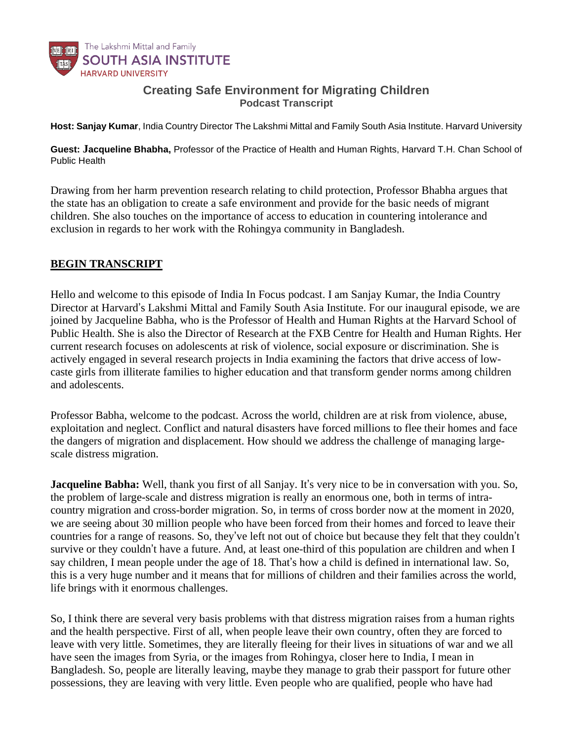

## **Creating Safe Environment for Migrating Children** *Podcast Transcript*

Host: Sanjay Kumar, India Country Director The Lakshmi Mittal and Family South Asia Institute. Harvard University

Guest: Jacqueline Bhabha, Professor of the Practice of Health and Human Rights, Harvard T.H. Chan School of *Public Health*

Drawing from her harm prevention research relating to child protection, Professor Bhabha argues that the state has an obligation to create a safe environment and provide for the basic needs of migrant children. She also touches on the importance of access to education in countering intolerance and exclusion in regards to her work with the Rohingya community in Bangladesh.

## **BEGIN TRANSCRIPT**

Hello and welcome to this episode of India In Focus podcast. I am Sanjay Kumar, the India Country Director at Harvard's Lakshmi Mittal and Family South Asia Institute. For our inaugural episode, we are joined by Jacqueline Babha, who is the Professor of Health and Human Rights at the Harvard School of Public Health. She is also the Director of Research at the FXB Centre for Health and Human Rights. Her current research focuses on adolescents at risk of violence, social exposure or discrimination. She is actively engaged in several research projects in India examining the factors that drive access of lowcaste girls from illiterate families to higher education and that transform gender norms among children and adolescents.

Professor Babha, welcome to the podcast. Across the world, children are at risk from violence, abuse, exploitation and neglect. Conflict and natural disasters have forced millions to flee their homes and face the dangers of migration and displacement. How should we address the challenge of managing largescale distress migration.

**Jacqueline Babha:** Well, thank you first of all Sanjay. It's very nice to be in conversation with you. So, the problem of large-scale and distress migration is really an enormous one, both in terms of intracountry migration and cross-border migration. So, in terms of cross border now at the moment in 2020, we are seeing about 30 million people who have been forced from their homes and forced to leave their countries for a range of reasons. So, they've left not out of choice but because they felt that they couldn't survive or they couldn't have a future. And, at least one-third of this population are children and when I say children, I mean people under the age of 18. That's how a child is defined in international law. So, this is a very huge number and it means that for millions of children and their families across the world, life brings with it enormous challenges.

So, I think there are several very basis problems with that distress migration raises from a human rights and the health perspective. First of all, when people leave their own country, often they are forced to leave with very little. Sometimes, they are literally fleeing for their lives in situations of war and we all have seen the images from Syria, or the images from Rohingya, closer here to India, I mean in Bangladesh. So, people are literally leaving, maybe they manage to grab their passport for future other possessions, they are leaving with very little. Even people who are qualified, people who have had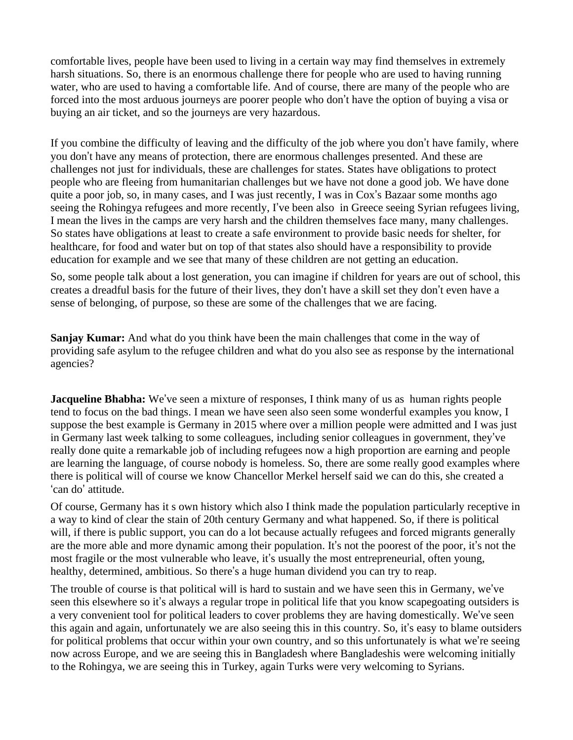comfortable lives, people have been used to living in a certain way may find themselves in extremely harsh situations. So, there is an enormous challenge there for people who are used to having running water, who are used to having a comfortable life. And of course, there are many of the people who are forced into the most arduous journeys are poorer people who don't have the option of buying a visa or buying an air ticket, and so the journeys are very hazardous.

If you combine the difficulty of leaving and the difficulty of the job where you don't have family, where you don't have any means of protection, there are enormous challenges presented. And these are challenges not just for individuals, these are challenges for states. States have obligations to protect people who are fleeing from humanitarian challenges but we have not done a good job. We have done quite a poor job, so, in many cases, and I was just recently, I was in Cox's Bazaar some months ago seeing the Rohingya refugees and more recently, I've been also in Greece seeing Syrian refugees living, I mean the lives in the camps are very harsh and the children themselves face many, many challenges. So states have obligations at least to create a safe environment to provide basic needs for shelter, for healthcare, for food and water but on top of that states also should have a responsibility to provide education for example and we see that many of these children are not getting an education.

So, some people talk about a lost generation, you can imagine if children for years are out of school, this creates a dreadful basis for the future of their lives, they don't have a skill set they don't even have a sense of belonging, of purpose, so these are some of the challenges that we are facing.

**Sanjay Kumar:** And what do you think have been the main challenges that come in the way of providing safe asylum to the refugee children and what do you also see as response by the international agencies?

**Jacqueline Bhabha:** We've seen a mixture of responses, I think many of us as human rights people tend to focus on the bad things. I mean we have seen also seen some wonderful examples you know, I suppose the best example is Germany in 2015 where over a million people were admitted and I was just in Germany last week talking to some colleagues, including senior colleagues in government, they've really done quite a remarkable job of including refugees now a high proportion are earning and people are learning the language, of course nobody is homeless. So, there are some really good examples where there is political will of course we know Chancellor Merkel herself said we can do this, she created a 'can do' attitude.

Of course, Germany has it s own history which also I think made the population particularly receptive in a way to kind of clear the stain of 20th century Germany and what happened. So, if there is political will, if there is public support, you can do a lot because actually refugees and forced migrants generally are the more able and more dynamic among their population. It's not the poorest of the poor, it's not the most fragile or the most vulnerable who leave, it's usually the most entrepreneurial, often young, healthy, determined, ambitious. So there's a huge human dividend you can try to reap.

The trouble of course is that political will is hard to sustain and we have seen this in Germany, we've seen this elsewhere so it's always a regular trope in political life that you know scapegoating outsiders is a very convenient tool for political leaders to cover problems they are having domestically. We've seen this again and again, unfortunately we are also seeing this in this country. So, it's easy to blame outsiders for political problems that occur within your own country, and so this unfortunately is what we're seeing now across Europe, and we are seeing this in Bangladesh where Bangladeshis were welcoming initially to the Rohingya, we are seeing this in Turkey, again Turks were very welcoming to Syrians.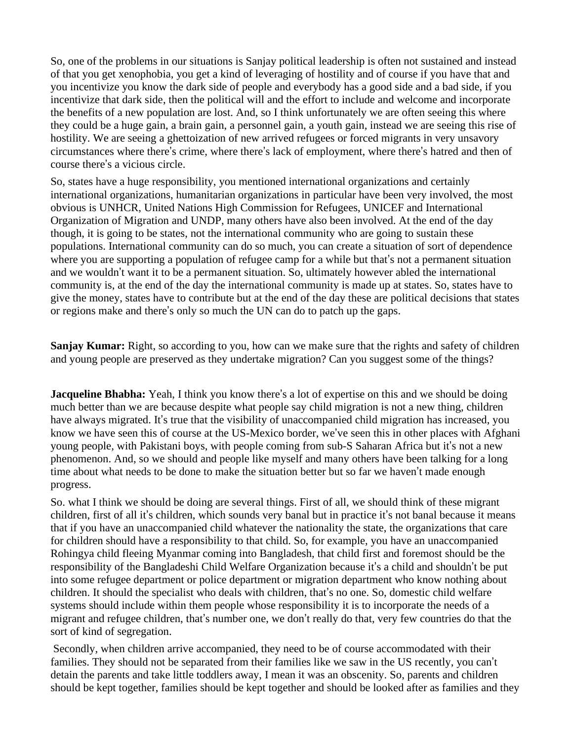So, one of the problems in our situations is Sanjay political leadership is often not sustained and instead of that you get xenophobia, you get a kind of leveraging of hostility and of course if you have that and you incentivize you know the dark side of people and everybody has a good side and a bad side, if you incentivize that dark side, then the political will and the effort to include and welcome and incorporate the benefits of a new population are lost. And, so I think unfortunately we are often seeing this where they could be a huge gain, a brain gain, a personnel gain, a youth gain, instead we are seeing this rise of hostility. We are seeing a ghettoization of new arrived refugees or forced migrants in very unsavory circumstances where there's crime, where there's lack of employment, where there's hatred and then of course there's a vicious circle.

So, states have a huge responsibility, you mentioned international organizations and certainly international organizations, humanitarian organizations in particular have been very involved, the most obvious is UNHCR, United Nations High Commission for Refugees, UNICEF and International Organization of Migration and UNDP, many others have also been involved. At the end of the day though, it is going to be states, not the international community who are going to sustain these populations. International community can do so much, you can create a situation of sort of dependence where you are supporting a population of refugee camp for a while but that's not a permanent situation and we wouldn't want it to be a permanent situation. So, ultimately however abled the international community is, at the end of the day the international community is made up at states. So, states have to give the money, states have to contribute but at the end of the day these are political decisions that states or regions make and there's only so much the UN can do to patch up the gaps.

**Sanjay Kumar:** Right, so according to you, how can we make sure that the rights and safety of children and young people are preserved as they undertake migration? Can you suggest some of the things?

**Jacqueline Bhabha:** Yeah, I think you know there's a lot of expertise on this and we should be doing much better than we are because despite what people say child migration is not a new thing, children have always migrated. It's true that the visibility of unaccompanied child migration has increased, you know we have seen this of course at the US-Mexico border, we've seen this in other places with Afghani young people, with Pakistani boys, with people coming from sub-S Saharan Africa but it's not a new phenomenon. And, so we should and people like myself and many others have been talking for a long time about what needs to be done to make the situation better but so far we haven't made enough progress.

So. what I think we should be doing are several things. First of all, we should think of these migrant children, first of all it's children, which sounds very banal but in practice it's not banal because it means that if you have an unaccompanied child whatever the nationality the state, the organizations that care for children should have a responsibility to that child. So, for example, you have an unaccompanied Rohingya child fleeing Myanmar coming into Bangladesh, that child first and foremost should be the responsibility of the Bangladeshi Child Welfare Organization because it's a child and shouldn't be put into some refugee department or police department or migration department who know nothing about children. It should the specialist who deals with children, that's no one. So, domestic child welfare systems should include within them people whose responsibility it is to incorporate the needs of a migrant and refugee children, that's number one, we don't really do that, very few countries do that the sort of kind of segregation.

Secondly, when children arrive accompanied, they need to be of course accommodated with their families. They should not be separated from their families like we saw in the US recently, you can't detain the parents and take little toddlers away, I mean it was an obscenity. So, parents and children should be kept together, families should be kept together and should be looked after as families and they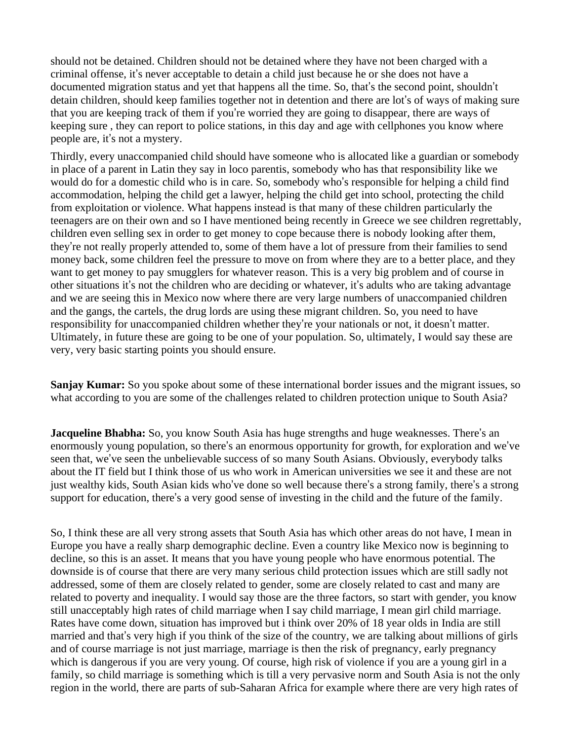should not be detained. Children should not be detained where they have not been charged with a criminal offense, it's never acceptable to detain a child just because he or she does not have a documented migration status and yet that happens all the time. So, that's the second point, shouldn't detain children, should keep families together not in detention and there are lot's of ways of making sure that you are keeping track of them if you're worried they are going to disappear, there are ways of keeping sure , they can report to police stations, in this day and age with cellphones you know where people are, it's not a mystery.

Thirdly, every unaccompanied child should have someone who is allocated like a guardian or somebody in place of a parent in Latin they say in loco parentis, somebody who has that responsibility like we would do for a domestic child who is in care. So, somebody who's responsible for helping a child find accommodation, helping the child get a lawyer, helping the child get into school, protecting the child from exploitation or violence. What happens instead is that many of these children particularly the teenagers are on their own and so I have mentioned being recently in Greece we see children regrettably, children even selling sex in order to get money to cope because there is nobody looking after them, they're not really properly attended to, some of them have a lot of pressure from their families to send money back, some children feel the pressure to move on from where they are to a better place, and they want to get money to pay smugglers for whatever reason. This is a very big problem and of course in other situations it's not the children who are deciding or whatever, it's adults who are taking advantage and we are seeing this in Mexico now where there are very large numbers of unaccompanied children and the gangs, the cartels, the drug lords are using these migrant children. So, you need to have responsibility for unaccompanied children whether they're your nationals or not, it doesn't matter. Ultimately, in future these are going to be one of your population. So, ultimately, I would say these are very, very basic starting points you should ensure.

**Sanjay Kumar:** So you spoke about some of these international border issues and the migrant issues, so what according to you are some of the challenges related to children protection unique to South Asia?

**Jacqueline Bhabha:** So, you know South Asia has huge strengths and huge weaknesses. There's an enormously young population, so there's an enormous opportunity for growth, for exploration and we've seen that, we've seen the unbelievable success of so many South Asians. Obviously, everybody talks about the IT field but I think those of us who work in American universities we see it and these are not just wealthy kids, South Asian kids who've done so well because there's a strong family, there's a strong support for education, there's a very good sense of investing in the child and the future of the family.

So, I think these are all very strong assets that South Asia has which other areas do not have, I mean in Europe you have a really sharp demographic decline. Even a country like Mexico now is beginning to decline, so this is an asset. It means that you have young people who have enormous potential. The downside is of course that there are very many serious child protection issues which are still sadly not addressed, some of them are closely related to gender, some are closely related to cast and many are related to poverty and inequality. I would say those are the three factors, so start with gender, you know still unacceptably high rates of child marriage when I say child marriage, I mean girl child marriage. Rates have come down, situation has improved but i think over 20% of 18 year olds in India are still married and that's very high if you think of the size of the country, we are talking about millions of girls and of course marriage is not just marriage, marriage is then the risk of pregnancy, early pregnancy which is dangerous if you are very young. Of course, high risk of violence if you are a young girl in a family, so child marriage is something which is till a very pervasive norm and South Asia is not the only region in the world, there are parts of sub-Saharan Africa for example where there are very high rates of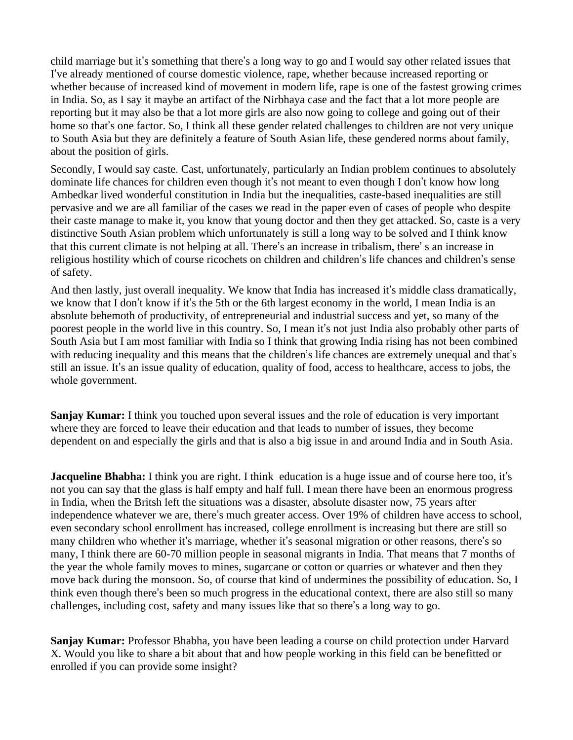child marriage but it's something that there's a long way to go and I would say other related issues that I've already mentioned of course domestic violence, rape, whether because increased reporting or whether because of increased kind of movement in modern life, rape is one of the fastest growing crimes in India. So, as I say it maybe an artifact of the Nirbhaya case and the fact that a lot more people are reporting but it may also be that a lot more girls are also now going to college and going out of their home so that's one factor. So, I think all these gender related challenges to children are not very unique to South Asia but they are definitely a feature of South Asian life, these gendered norms about family, about the position of girls.

Secondly, I would say caste. Cast, unfortunately, particularly an Indian problem continues to absolutely dominate life chances for children even though it's not meant to even though I don't know how long Ambedkar lived wonderful constitution in India but the inequalities, caste-based inequalities are still pervasive and we are all familiar of the cases we read in the paper even of cases of people who despite their caste manage to make it, you know that young doctor and then they get attacked. So, caste is a very distinctive South Asian problem which unfortunately is still a long way to be solved and I think know that this current climate is not helping at all. There's an increase in tribalism, there' s an increase in religious hostility which of course ricochets on children and children's life chances and children's sense of safety.

And then lastly, just overall inequality. We know that India has increased it's middle class dramatically, we know that I don't know if it's the 5th or the 6th largest economy in the world, I mean India is an absolute behemoth of productivity, of entrepreneurial and industrial success and yet, so many of the poorest people in the world live in this country. So, I mean it's not just India also probably other parts of South Asia but I am most familiar with India so I think that growing India rising has not been combined with reducing inequality and this means that the children's life chances are extremely unequal and that's still an issue. It's an issue quality of education, quality of food, access to healthcare, access to jobs, the whole government.

**Sanjay Kumar:** I think you touched upon several issues and the role of education is very important where they are forced to leave their education and that leads to number of issues, they become dependent on and especially the girls and that is also a big issue in and around India and in South Asia.

**Jacqueline Bhabha:** I think you are right. I think education is a huge issue and of course here too, it's not you can say that the glass is half empty and half full. I mean there have been an enormous progress in India, when the Britsh left the situations was a disaster, absolute disaster now, 75 years after independence whatever we are, there's much greater access. Over 19% of children have access to school, even secondary school enrollment has increased, college enrollment is increasing but there are still so many children who whether it's marriage, whether it's seasonal migration or other reasons, there's so many, I think there are 60-70 million people in seasonal migrants in India. That means that 7 months of the year the whole family moves to mines, sugarcane or cotton or quarries or whatever and then they move back during the monsoon. So, of course that kind of undermines the possibility of education. So, I think even though there's been so much progress in the educational context, there are also still so many challenges, including cost, safety and many issues like that so there's a long way to go.

**Sanjay Kumar:** Professor Bhabha, you have been leading a course on child protection under Harvard X. Would you like to share a bit about that and how people working in this field can be benefitted or enrolled if you can provide some insight?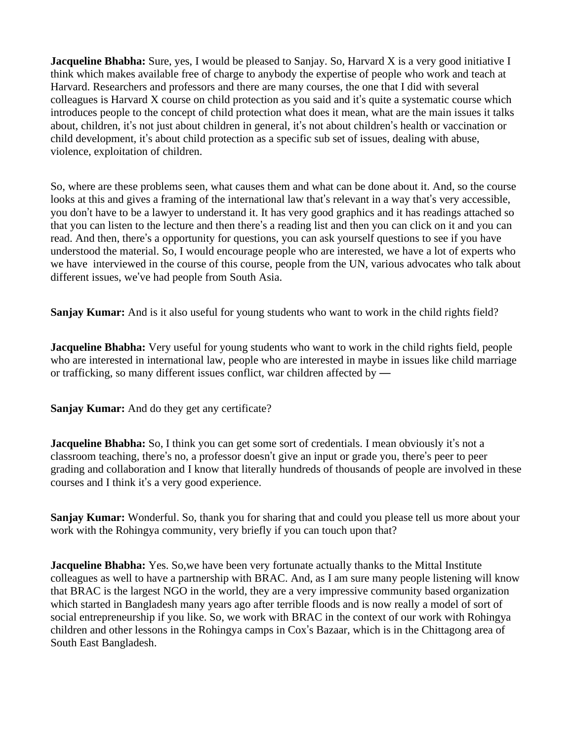**Jacqueline Bhabha:** Sure, yes, I would be pleased to Sanjay. So, Harvard X is a very good initiative I think which makes available free of charge to anybody the expertise of people who work and teach at Harvard. Researchers and professors and there are many courses, the one that I did with several colleagues is Harvard X course on child protection as you said and it's quite a systematic course which introduces people to the concept of child protection what does it mean, what are the main issues it talks about, children, it's not just about children in general, it's not about children's health or vaccination or child development, it's about child protection as a specific sub set of issues, dealing with abuse, violence, exploitation of children.

So, where are these problems seen, what causes them and what can be done about it. And, so the course looks at this and gives a framing of the international law that's relevant in a way that's very accessible, you don't have to be a lawyer to understand it. It has very good graphics and it has readings attached so that you can listen to the lecture and then there's a reading list and then you can click on it and you can read. And then, there's a opportunity for questions, you can ask yourself questions to see if you have understood the material. So, I would encourage people who are interested, we have a lot of experts who we have interviewed in the course of this course, people from the UN, various advocates who talk about different issues, we've had people from South Asia.

**Sanjay Kumar:** And is it also useful for young students who want to work in the child rights field?

**Jacqueline Bhabha:** Very useful for young students who want to work in the child rights field, people who are interested in international law, people who are interested in maybe in issues like child marriage or trafficking, so many different issues conflict, war children affected by —

**Sanjay Kumar:** And do they get any certificate?

**Jacqueline Bhabha:** So, I think you can get some sort of credentials. I mean obviously it's not a classroom teaching, there's no, a professor doesn't give an input or grade you, there's peer to peer grading and collaboration and I know that literally hundreds of thousands of people are involved in these courses and I think it's a very good experience.

**Sanjay Kumar:** Wonderful. So, thank you for sharing that and could you please tell us more about your work with the Rohingya community, very briefly if you can touch upon that?

**Jacqueline Bhabha:** Yes. So,we have been very fortunate actually thanks to the Mittal Institute colleagues as well to have a partnership with BRAC. And, as I am sure many people listening will know that BRAC is the largest NGO in the world, they are a very impressive community based organization which started in Bangladesh many years ago after terrible floods and is now really a model of sort of social entrepreneurship if you like. So, we work with BRAC in the context of our work with Rohingya children and other lessons in the Rohingya camps in Cox's Bazaar, which is in the Chittagong area of South East Bangladesh.